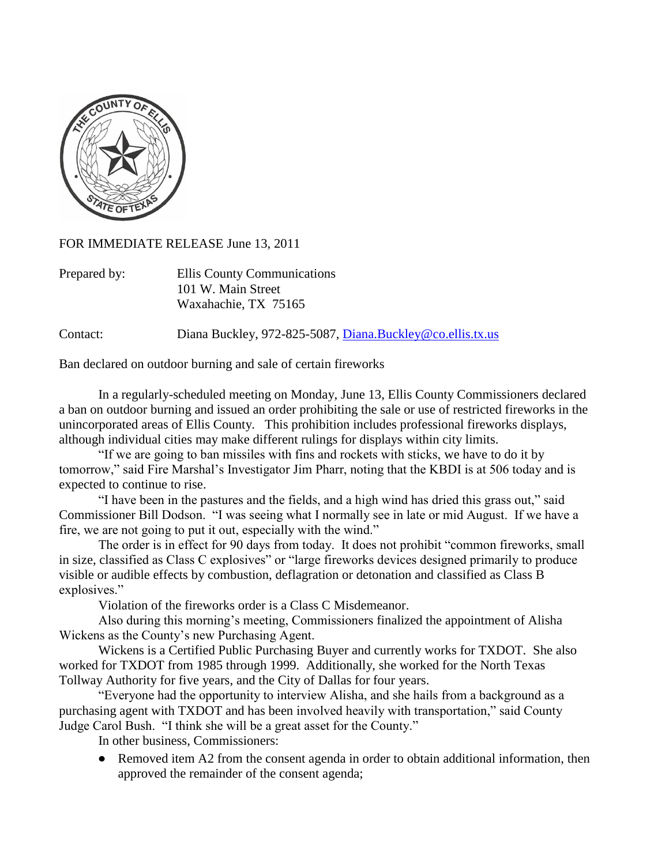

FOR IMMEDIATE RELEASE June 13, 2011

| Prepared by: | Ellis County Communications |
|--------------|-----------------------------|
|              | 101 W. Main Street          |
|              | Waxahachie, TX 75165        |

Contact: Diana Buckley, 972-825-5087, [Diana.Buckley@co.ellis.tx.us](mailto:Diana.Buckley@co.ellis.tx.us)

Ban declared on outdoor burning and sale of certain fireworks

In a regularly-scheduled meeting on Monday, June 13, Ellis County Commissioners declared a ban on outdoor burning and issued an order prohibiting the sale or use of restricted fireworks in the unincorporated areas of Ellis County. This prohibition includes professional fireworks displays, although individual cities may make different rulings for displays within city limits.

"If we are going to ban missiles with fins and rockets with sticks, we have to do it by tomorrow," said Fire Marshal's Investigator Jim Pharr, noting that the KBDI is at 506 today and is expected to continue to rise.

"I have been in the pastures and the fields, and a high wind has dried this grass out," said Commissioner Bill Dodson. "I was seeing what I normally see in late or mid August. If we have a fire, we are not going to put it out, especially with the wind."

The order is in effect for 90 days from today. It does not prohibit "common fireworks, small in size, classified as Class C explosives" or "large fireworks devices designed primarily to produce visible or audible effects by combustion, deflagration or detonation and classified as Class B explosives."

Violation of the fireworks order is a Class C Misdemeanor.

Also during this morning's meeting, Commissioners finalized the appointment of Alisha Wickens as the County's new Purchasing Agent.

Wickens is a Certified Public Purchasing Buyer and currently works for TXDOT. She also worked for TXDOT from 1985 through 1999. Additionally, she worked for the North Texas Tollway Authority for five years, and the City of Dallas for four years.

"Everyone had the opportunity to interview Alisha, and she hails from a background as a purchasing agent with TXDOT and has been involved heavily with transportation," said County Judge Carol Bush. "I think she will be a great asset for the County."

In other business, Commissioners:

 $\bullet$ Removed item A2 from the consent agenda in order to obtain additional information, then approved the remainder of the consent agenda;